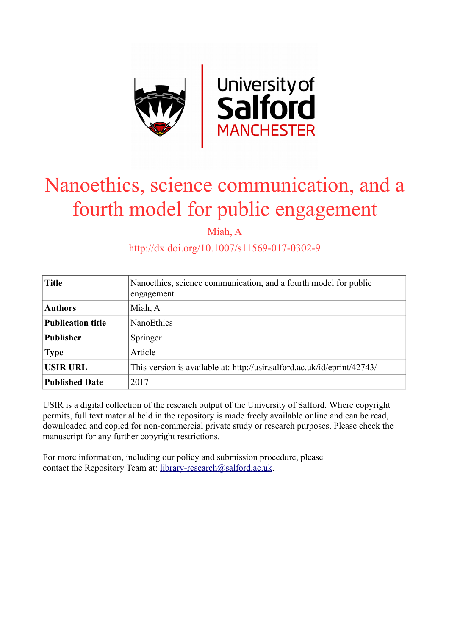

# Nanoethics, science communication, and a fourth model for public engagement

Miah, A

http://dx.doi.org/10.1007/s11569-017-0302-9

| <b>Title</b>             | Nanoethics, science communication, and a fourth model for public<br>engagement |
|--------------------------|--------------------------------------------------------------------------------|
| <b>Authors</b>           | Miah, A                                                                        |
| <b>Publication title</b> | <b>NanoEthics</b>                                                              |
| <b>Publisher</b>         | Springer                                                                       |
| <b>Type</b>              | Article                                                                        |
| <b>USIR URL</b>          | This version is available at: http://usir.salford.ac.uk/id/eprint/42743/       |
| <b>Published Date</b>    | 2017                                                                           |

USIR is a digital collection of the research output of the University of Salford. Where copyright permits, full text material held in the repository is made freely available online and can be read, downloaded and copied for non-commercial private study or research purposes. Please check the manuscript for any further copyright restrictions.

For more information, including our policy and submission procedure, please contact the Repository Team at: [library-research@salford.ac.uk.](mailto:library-research@salford.ac.uk)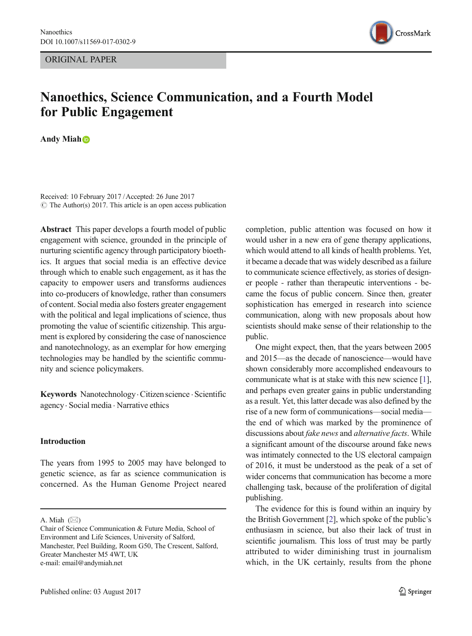ORIGINAL PAPER



# Nanoethics, Science Communication, and a Fourth Model for Public Engagement

Andy Miah<sub>o</sub>

Received: 10 February 2017 /Accepted: 26 June 2017  $\odot$  The Author(s) 2017. This article is an open access publication

Abstract This paper develops a fourth model of public engagement with science, grounded in the principle of nurturing scientific agency through participatory bioethics. It argues that social media is an effective device through which to enable such engagement, as it has the capacity to empower users and transforms audiences into co-producers of knowledge, rather than consumers of content. Social media also fosters greater engagement with the political and legal implications of science, thus promoting the value of scientific citizenship. This argument is explored by considering the case of nanoscience and nanotechnology, as an exemplar for how emerging technologies may be handled by the scientific community and science policymakers.

Keywords Nanotechnology Citizen science · Scientific agency. Social media . Narrative ethics

#### Introduction

The years from 1995 to 2005 may have belonged to genetic science, as far as science communication is concerned. As the Human Genome Project neared

A. Miah  $(\boxtimes)$ 

completion, public attention was focused on how it would usher in a new era of gene therapy applications, which would attend to all kinds of health problems. Yet, it became a decade that was widely described as a failure to communicate science effectively, as stories of designer people - rather than therapeutic interventions - became the focus of public concern. Since then, greater sophistication has emerged in research into science communication, along with new proposals about how scientists should make sense of their relationship to the public.

One might expect, then, that the years between 2005 and 2015—as the decade of nanoscience—would have shown considerably more accomplished endeavours to communicate what is at stake with this new science [[1\]](#page-13-0), and perhaps even greater gains in public understanding as a result. Yet, this latter decade was also defined by the rise of a new form of communications—social media the end of which was marked by the prominence of discussions about fake news and alternative facts. While a significant amount of the discourse around fake news was intimately connected to the US electoral campaign of 2016, it must be understood as the peak of a set of wider concerns that communication has become a more challenging task, because of the proliferation of digital publishing.

The evidence for this is found within an inquiry by the British Government [\[2](#page-13-0)], which spoke of the public's enthusiasm in science, but also their lack of trust in scientific journalism. This loss of trust may be partly attributed to wider diminishing trust in journalism which, in the UK certainly, results from the phone

Chair of Science Communication & Future Media, School of Environment and Life Sciences, University of Salford, Manchester, Peel Building, Room G50, The Crescent, Salford, Greater Manchester M5 4WT, UK e-mail: email@andymiah.net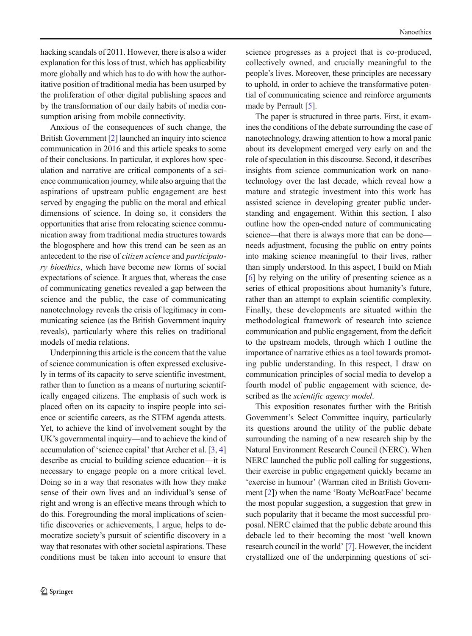hacking scandals of 2011. However, there is also a wider explanation for this loss of trust, which has applicability more globally and which has to do with how the authoritative position of traditional media has been usurped by the proliferation of other digital publishing spaces and by the transformation of our daily habits of media consumption arising from mobile connectivity.

Anxious of the consequences of such change, the British Government [[2](#page-13-0)] launched an inquiry into science communication in 2016 and this article speaks to some of their conclusions. In particular, it explores how speculation and narrative are critical components of a science communication journey, while also arguing that the aspirations of upstream public engagement are best served by engaging the public on the moral and ethical dimensions of science. In doing so, it considers the opportunities that arise from relocating science communication away from traditional media structures towards the blogosphere and how this trend can be seen as an antecedent to the rise of citizen science and participatory bioethics, which have become new forms of social expectations of science. It argues that, whereas the case of communicating genetics revealed a gap between the science and the public, the case of communicating nanotechnology reveals the crisis of legitimacy in communicating science (as the British Government inquiry reveals), particularly where this relies on traditional models of media relations.

Underpinning this article is the concern that the value of science communication is often expressed exclusively in terms of its capacity to serve scientific investment, rather than to function as a means of nurturing scientifically engaged citizens. The emphasis of such work is placed often on its capacity to inspire people into science or scientific careers, as the STEM agenda attests. Yet, to achieve the kind of involvement sought by the UK's governmental inquiry—and to achieve the kind of accumulation of 'science capital' that Archer et al. [[3,](#page-13-0) [4\]](#page-13-0) describe as crucial to building science education—it is necessary to engage people on a more critical level. Doing so in a way that resonates with how they make sense of their own lives and an individual's sense of right and wrong is an effective means through which to do this. Foregrounding the moral implications of scientific discoveries or achievements, I argue, helps to democratize society's pursuit of scientific discovery in a way that resonates with other societal aspirations. These conditions must be taken into account to ensure that

science progresses as a project that is co-produced, collectively owned, and crucially meaningful to the people's lives. Moreover, these principles are necessary to uphold, in order to achieve the transformative potential of communicating science and reinforce arguments made by Perrault [\[5\]](#page-13-0).

The paper is structured in three parts. First, it examines the conditions of the debate surrounding the case of nanotechnology, drawing attention to how a moral panic about its development emerged very early on and the role of speculation in this discourse. Second, it describes insights from science communication work on nanotechnology over the last decade, which reveal how a mature and strategic investment into this work has assisted science in developing greater public understanding and engagement. Within this section, I also outline how the open-ended nature of communicating science—that there is always more that can be done needs adjustment, focusing the public on entry points into making science meaningful to their lives, rather than simply understood. In this aspect, I build on Miah [\[6\]](#page-13-0) by relying on the utility of presenting science as a series of ethical propositions about humanity's future, rather than an attempt to explain scientific complexity. Finally, these developments are situated within the methodological framework of research into science communication and public engagement, from the deficit to the upstream models, through which I outline the importance of narrative ethics as a tool towards promoting public understanding. In this respect, I draw on communication principles of social media to develop a fourth model of public engagement with science, described as the *scientific agency model*.

This exposition resonates further with the British Government's Select Committee inquiry, particularly its questions around the utility of the public debate surrounding the naming of a new research ship by the Natural Environment Research Council (NERC). When NERC launched the public poll calling for suggestions, their exercise in public engagement quickly became an 'exercise in humour' (Warman cited in British Government [\[2\]](#page-13-0)) when the name 'Boaty McBoatFace' became the most popular suggestion, a suggestion that grew in such popularity that it became the most successful proposal. NERC claimed that the public debate around this debacle led to their becoming the most 'well known research council in the world' [\[7](#page-13-0)]. However, the incident crystallized one of the underpinning questions of sci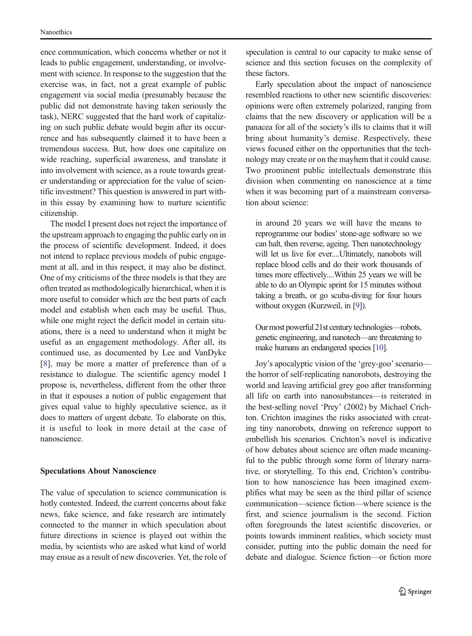ence communication, which concerns whether or not it leads to public engagement, understanding, or involvement with science. In response to the suggestion that the exercise was, in fact, not a great example of public engagement via social media (presumably because the public did not demonstrate having taken seriously the task), NERC suggested that the hard work of capitalizing on such public debate would begin after its occurrence and has subsequently claimed it to have been a tremendous success. But, how does one capitalize on wide reaching, superficial awareness, and translate it into involvement with science, as a route towards greater understanding or appreciation for the value of scientific investment? This question is answered in part within this essay by examining how to nurture scientific citizenship.

The model I present does not reject the importance of the upstream approach to engaging the public early on in the process of scientific development. Indeed, it does not intend to replace previous models of pubic engagement at all, and in this respect, it may also be distinct. One of my criticisms of the three models is that they are often treated as methodologically hierarchical, when it is more useful to consider which are the best parts of each model and establish when each may be useful. Thus, while one might reject the deficit model in certain situations, there is a need to understand when it might be useful as an engagement methodology. After all, its continued use, as documented by Lee and VanDyke [[8](#page-13-0)], may be more a matter of preference than of a resistance to dialogue. The scientific agency model I propose is, nevertheless, different from the other three in that it espouses a notion of public engagement that gives equal value to highly speculative science, as it does to matters of urgent debate. To elaborate on this, it is useful to look in more detail at the case of nanoscience.

#### Speculations About Nanoscience

The value of speculation to science communication is hotly contested. Indeed, the current concerns about fake news, fake science, and fake research are intimately connected to the manner in which speculation about future directions in science is played out within the media, by scientists who are asked what kind of world may ensue as a result of new discoveries. Yet, the role of speculation is central to our capacity to make sense of science and this section focuses on the complexity of these factors.

Early speculation about the impact of nanoscience resembled reactions to other new scientific discoveries: opinions were often extremely polarized, ranging from claims that the new discovery or application will be a panacea for all of the society's ills to claims that it will bring about humanity's demise. Respectively, these views focused either on the opportunities that the technology may create or on the mayhem that it could cause. Two prominent public intellectuals demonstrate this division when commenting on nanoscience at a time when it was becoming part of a mainstream conversation about science:

in around 20 years we will have the means to reprogramme our bodies' stone-age software so we can halt, then reverse, ageing. Then nanotechnology will let us live for ever....Ultimately, nanobots will replace blood cells and do their work thousands of times more effectively....Within 25 years we will be able to do an Olympic sprint for 15 minutes without taking a breath, or go scuba-diving for four hours without oxygen (Kurzweil, in [\[9\]](#page-13-0)).

Our most powerful 21st century technologies—robots, genetic engineering, and nanotech—are threatening to make humans an endangered species [\[10](#page-13-0)].

Joy's apocalyptic vision of the 'grey-goo'scenario the horror of self-replicating nanorobots, destroying the world and leaving artificial grey goo after transforming all life on earth into nanosubstances—is reiterated in the best-selling novel 'Prey' (2002) by Michael Crichton. Crichton imagines the risks associated with creating tiny nanorobots, drawing on reference support to embellish his scenarios. Crichton's novel is indicative of how debates about science are often made meaningful to the public through some form of literary narrative, or storytelling. To this end, Crichton's contribution to how nanoscience has been imagined exemplifies what may be seen as the third pillar of science communication—science fiction—where science is the first, and science journalism is the second. Fiction often foregrounds the latest scientific discoveries, or points towards imminent realities, which society must consider, putting into the public domain the need for debate and dialogue. Science fiction—or fiction more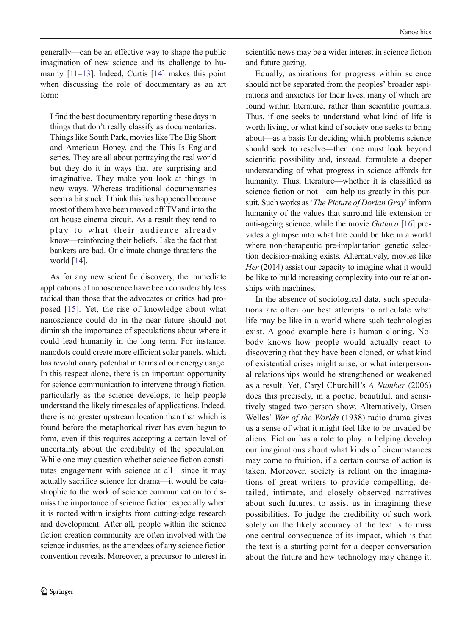generally—can be an effective way to shape the public imagination of new science and its challenge to humanity [[11](#page-13-0)–[13](#page-13-0)]. Indeed, Curtis [\[14](#page-13-0)] makes this point when discussing the role of documentary as an art form:

I find the best documentary reporting these days in things that don't really classify as documentaries. Things like South Park, movies like The Big Short and American Honey, and the This Is England series. They are all about portraying the real world but they do it in ways that are surprising and imaginative. They make you look at things in new ways. Whereas traditional documentaries seem a bit stuck. I think this has happened because most of them have been moved off TVand into the art house cinema circuit. As a result they tend to play to what their audience already know—reinforcing their beliefs. Like the fact that bankers are bad. Or climate change threatens the world [[14](#page-13-0)].

As for any new scientific discovery, the immediate applications of nanoscience have been considerably less radical than those that the advocates or critics had proposed [[15](#page-13-0)]. Yet, the rise of knowledge about what nanoscience could do in the near future should not diminish the importance of speculations about where it could lead humanity in the long term. For instance, nanodots could create more efficient solar panels, which has revolutionary potential in terms of our energy usage. In this respect alone, there is an important opportunity for science communication to intervene through fiction, particularly as the science develops, to help people understand the likely timescales of applications. Indeed, there is no greater upstream location than that which is found before the metaphorical river has even begun to form, even if this requires accepting a certain level of uncertainty about the credibility of the speculation. While one may question whether science fiction constitutes engagement with science at all—since it may actually sacrifice science for drama—it would be catastrophic to the work of science communication to dismiss the importance of science fiction, especially when it is rooted within insights from cutting-edge research and development. After all, people within the science fiction creation community are often involved with the science industries, as the attendees of any science fiction convention reveals. Moreover, a precursor to interest in

scientific news may be a wider interest in science fiction and future gazing.

Equally, aspirations for progress within science should not be separated from the peoples' broader aspirations and anxieties for their lives, many of which are found within literature, rather than scientific journals. Thus, if one seeks to understand what kind of life is worth living, or what kind of society one seeks to bring about—as a basis for deciding which problems science should seek to resolve—then one must look beyond scientific possibility and, instead, formulate a deeper understanding of what progress in science affords for humanity. Thus, literature—whether it is classified as science fiction or not—can help us greatly in this pursuit. Such works as'The Picture of Dorian Gray' inform humanity of the values that surround life extension or anti-ageing science, while the movie Gattaca [\[16](#page-14-0)] provides a glimpse into what life could be like in a world where non-therapeutic pre-implantation genetic selection decision-making exists. Alternatively, movies like Her (2014) assist our capacity to imagine what it would be like to build increasing complexity into our relationships with machines.

In the absence of sociological data, such speculations are often our best attempts to articulate what life may be like in a world where such technologies exist. A good example here is human cloning. Nobody knows how people would actually react to discovering that they have been cloned, or what kind of existential crises might arise, or what interpersonal relationships would be strengthened or weakened as a result. Yet, Caryl Churchill's A Number (2006) does this precisely, in a poetic, beautiful, and sensitively staged two-person show. Alternatively, Orsen Welles' War of the Worlds (1938) radio drama gives us a sense of what it might feel like to be invaded by aliens. Fiction has a role to play in helping develop our imaginations about what kinds of circumstances may come to fruition, if a certain course of action is taken. Moreover, society is reliant on the imaginations of great writers to provide compelling, detailed, intimate, and closely observed narratives about such futures, to assist us in imagining these possibilities. To judge the credibility of such work solely on the likely accuracy of the text is to miss one central consequence of its impact, which is that the text is a starting point for a deeper conversation about the future and how technology may change it.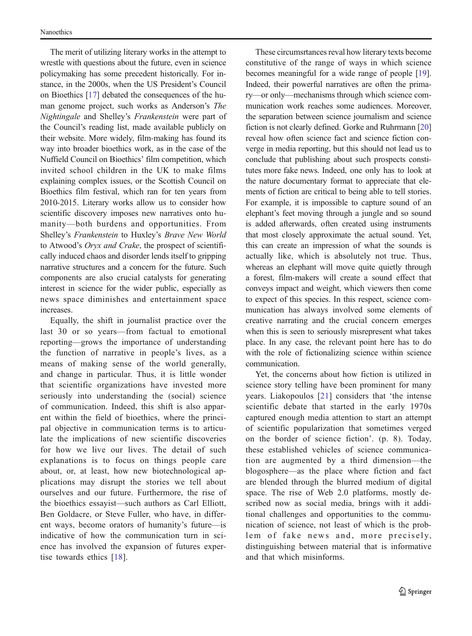The merit of utilizing literary works in the attempt to wrestle with questions about the future, even in science policymaking has some precedent historically. For instance, in the 2000s, when the US President's Council on Bioethics [\[17](#page-14-0)] debated the consequences of the human genome project, such works as Anderson's The Nightingale and Shelley's Frankenstein were part of the Council's reading list, made available publicly on their website. More widely, film-making has found its way into broader bioethics work, as in the case of the Nuffield Council on Bioethics' film competition, which invited school children in the UK to make films explaining complex issues, or the Scottish Council on Bioethics film festival, which ran for ten years from 2010-2015. Literary works allow us to consider how scientific discovery imposes new narratives onto humanity—both burdens and opportunities. From Shelley's Frankenstein to Huxley's Brave New World to Atwood's Oryx and Crake, the prospect of scientifically induced chaos and disorder lends itself to gripping narrative structures and a concern for the future. Such components are also crucial catalysts for generating interest in science for the wider public, especially as news space diminishes and entertainment space increases.

Equally, the shift in journalist practice over the last 30 or so years—from factual to emotional reporting—grows the importance of understanding the function of narrative in people's lives, as a means of making sense of the world generally, and change in particular. Thus, it is little wonder that scientific organizations have invested more seriously into understanding the (social) science of communication. Indeed, this shift is also apparent within the field of bioethics, where the principal objective in communication terms is to articulate the implications of new scientific discoveries for how we live our lives. The detail of such explanations is to focus on things people care about, or, at least, how new biotechnological applications may disrupt the stories we tell about ourselves and our future. Furthermore, the rise of the bioethics essayist—such authors as Carl Elliott, Ben Goldacre, or Steve Fuller, who have, in different ways, become orators of humanity's future—is indicative of how the communication turn in science has involved the expansion of futures expertise towards ethics [\[18](#page-14-0)].

These circumsrtances reval how literary texts become constitutive of the range of ways in which science becomes meaningful for a wide range of people [[19\]](#page-14-0). Indeed, their powerful narratives are often the primary—or only—mechanisms through which science communication work reaches some audiences. Moreover, the separation between science journalism and science fiction is not clearly defined. Gorke and Ruhrmann [\[20](#page-14-0)] reveal how often science fact and science fiction converge in media reporting, but this should not lead us to conclude that publishing about such prospects constitutes more fake news. Indeed, one only has to look at the nature documentary format to appreciate that elements of fiction are critical to being able to tell stories. For example, it is impossible to capture sound of an elephant's feet moving through a jungle and so sound is added afterwards, often created using instruments that most closely approximate the actual sound. Yet, this can create an impression of what the sounds is actually like, which is absolutely not true. Thus, whereas an elephant will move quite quietly through a forest, film-makers will create a sound effect that conveys impact and weight, which viewers then come to expect of this species. In this respect, science communication has always involved some elements of creative narrating and the crucial concern emerges when this is seen to seriously misrepresent what takes place. In any case, the relevant point here has to do with the role of fictionalizing science within science communication.

Yet, the concerns about how fiction is utilized in science story telling have been prominent for many years. Liakopoulos [[21\]](#page-14-0) considers that 'the intense scientific debate that started in the early 1970s captured enough media attention to start an attempt of scientific popularization that sometimes verged on the border of science fiction'. (p. 8). Today, these established vehicles of science communication are augmented by a third dimension—the blogosphere—as the place where fiction and fact are blended through the blurred medium of digital space. The rise of Web 2.0 platforms, mostly described now as social media, brings with it additional challenges and opportunities to the communication of science, not least of which is the problem of fake news and, more precisely, distinguishing between material that is informative and that which misinforms.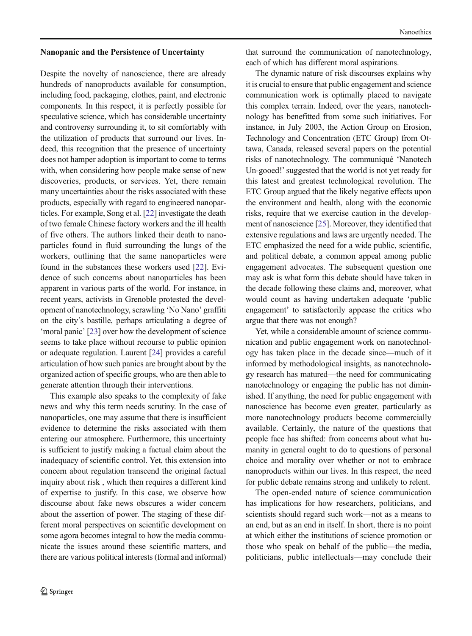#### Nanopanic and the Persistence of Uncertainty

Despite the novelty of nanoscience, there are already hundreds of nanoproducts available for consumption, including food, packaging, clothes, paint, and electronic components. In this respect, it is perfectly possible for speculative science, which has considerable uncertainty and controversy surrounding it, to sit comfortably with the utilization of products that surround our lives. Indeed, this recognition that the presence of uncertainty does not hamper adoption is important to come to terms with, when considering how people make sense of new discoveries, products, or services. Yet, there remain many uncertainties about the risks associated with these products, especially with regard to engineered nanoparticles. For example, Song et al. [\[22\]](#page-14-0) investigate the death of two female Chinese factory workers and the ill health of five others. The authors linked their death to nanoparticles found in fluid surrounding the lungs of the workers, outlining that the same nanoparticles were found in the substances these workers used [[22](#page-14-0)]. Evidence of such concerns about nanoparticles has been apparent in various parts of the world. For instance, in recent years, activists in Grenoble protested the development of nanotechnology, scrawling 'No Nano' graffiti on the city's bastille, perhaps articulating a degree of 'moral panic' [[23\]](#page-14-0) over how the development of science seems to take place without recourse to public opinion or adequate regulation. Laurent [[24\]](#page-14-0) provides a careful articulation of how such panics are brought about by the organized action of specific groups, who are then able to generate attention through their interventions.

This example also speaks to the complexity of fake news and why this term needs scrutiny. In the case of nanoparticles, one may assume that there is insufficient evidence to determine the risks associated with them entering our atmosphere. Furthermore, this uncertainty is sufficient to justify making a factual claim about the inadequacy of scientific control. Yet, this extension into concern about regulation transcend the original factual inquiry about risk , which then requires a different kind of expertise to justify. In this case, we observe how discourse about fake news obscures a wider concern about the assertion of power. The staging of these different moral perspectives on scientific development on some agora becomes integral to how the media communicate the issues around these scientific matters, and there are various political interests (formal and informal)

that surround the communication of nanotechnology, each of which has different moral aspirations.

The dynamic nature of risk discourses explains why it is crucial to ensure that public engagement and science communication work is optimally placed to navigate this complex terrain. Indeed, over the years, nanotechnology has benefitted from some such initiatives. For instance, in July 2003, the Action Group on Erosion, Technology and Concentration (ETC Group) from Ottawa, Canada, released several papers on the potential risks of nanotechnology. The communiqué 'Nanotech Un-gooed!'suggested that the world is not yet ready for this latest and greatest technological revolution. The ETC Group argued that the likely negative effects upon the environment and health, along with the economic risks, require that we exercise caution in the development of nanoscience [[25\]](#page-14-0). Moreover, they identified that extensive regulations and laws are urgently needed. The ETC emphasized the need for a wide public, scientific, and political debate, a common appeal among public engagement advocates. The subsequent question one may ask is what form this debate should have taken in the decade following these claims and, moreover, what would count as having undertaken adequate 'public engagement' to satisfactorily appease the critics who argue that there was not enough?

Yet, while a considerable amount of science communication and public engagement work on nanotechnology has taken place in the decade since—much of it informed by methodological insights, as nanotechnology research has matured—the need for communicating nanotechnology or engaging the public has not diminished. If anything, the need for public engagement with nanoscience has become even greater, particularly as more nanotechnology products become commercially available. Certainly, the nature of the questions that people face has shifted: from concerns about what humanity in general ought to do to questions of personal choice and morality over whether or not to embrace nanoproducts within our lives. In this respect, the need for public debate remains strong and unlikely to relent.

The open-ended nature of science communication has implications for how researchers, politicians, and scientists should regard such work—not as a means to an end, but as an end in itself. In short, there is no point at which either the institutions of science promotion or those who speak on behalf of the public—the media, politicians, public intellectuals—may conclude their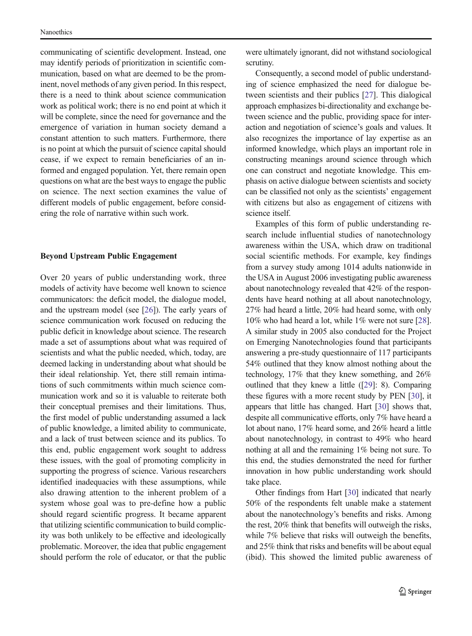communicating of scientific development. Instead, one may identify periods of prioritization in scientific communication, based on what are deemed to be the prominent, novel methods of any given period. In this respect, there is a need to think about science communication work as political work; there is no end point at which it will be complete, since the need for governance and the emergence of variation in human society demand a constant attention to such matters. Furthermore, there is no point at which the pursuit of science capital should cease, if we expect to remain beneficiaries of an informed and engaged population. Yet, there remain open questions on what are the best ways to engage the public on science. The next section examines the value of different models of public engagement, before considering the role of narrative within such work.

#### Beyond Upstream Public Engagement

Over 20 years of public understanding work, three models of activity have become well known to science communicators: the deficit model, the dialogue model, and the upstream model (see [[26](#page-14-0)]). The early years of science communication work focused on reducing the public deficit in knowledge about science. The research made a set of assumptions about what was required of scientists and what the public needed, which, today, are deemed lacking in understanding about what should be their ideal relationship. Yet, there still remain intimations of such commitments within much science communication work and so it is valuable to reiterate both their conceptual premises and their limitations. Thus, the first model of public understanding assumed a lack of public knowledge, a limited ability to communicate, and a lack of trust between science and its publics. To this end, public engagement work sought to address these issues, with the goal of promoting complicity in supporting the progress of science. Various researchers identified inadequacies with these assumptions, while also drawing attention to the inherent problem of a system whose goal was to pre-define how a public should regard scientific progress. It became apparent that utilizing scientific communication to build complicity was both unlikely to be effective and ideologically problematic. Moreover, the idea that public engagement should perform the role of educator, or that the public

were ultimately ignorant, did not withstand sociological scrutiny.

Consequently, a second model of public understanding of science emphasized the need for dialogue between scientists and their publics [[27\]](#page-14-0). This dialogical approach emphasizes bi-directionality and exchange between science and the public, providing space for interaction and negotiation of science's goals and values. It also recognizes the importance of lay expertise as an informed knowledge, which plays an important role in constructing meanings around science through which one can construct and negotiate knowledge. This emphasis on active dialogue between scientists and society can be classified not only as the scientists' engagement with citizens but also as engagement of citizens with science itself.

Examples of this form of public understanding research include influential studies of nanotechnology awareness within the USA, which draw on traditional social scientific methods. For example, key findings from a survey study among 1014 adults nationwide in the USA in August 2006 investigating public awareness about nanotechnology revealed that 42% of the respondents have heard nothing at all about nanotechnology, 27% had heard a little, 20% had heard some, with only 10% who had heard a lot, while 1% were not sure [[28\]](#page-14-0). A similar study in 2005 also conducted for the Project on Emerging Nanotechnologies found that participants answering a pre-study questionnaire of 117 participants 54% outlined that they know almost nothing about the technology, 17% that they knew something, and 26% outlined that they knew a little ([\[29\]](#page-14-0): 8). Comparing these figures with a more recent study by PEN [[30](#page-14-0)], it appears that little has changed. Hart [\[30\]](#page-14-0) shows that, despite all communicative efforts, only 7% have heard a lot about nano, 17% heard some, and 26% heard a little about nanotechnology, in contrast to 49% who heard nothing at all and the remaining 1% being not sure. To this end, the studies demonstrated the need for further innovation in how public understanding work should take place.

Other findings from Hart [\[30\]](#page-14-0) indicated that nearly 50% of the respondents felt unable make a statement about the nanotechnology's benefits and risks. Among the rest, 20% think that benefits will outweigh the risks, while 7% believe that risks will outweigh the benefits, and 25% think that risks and benefits will be about equal (ibid). This showed the limited public awareness of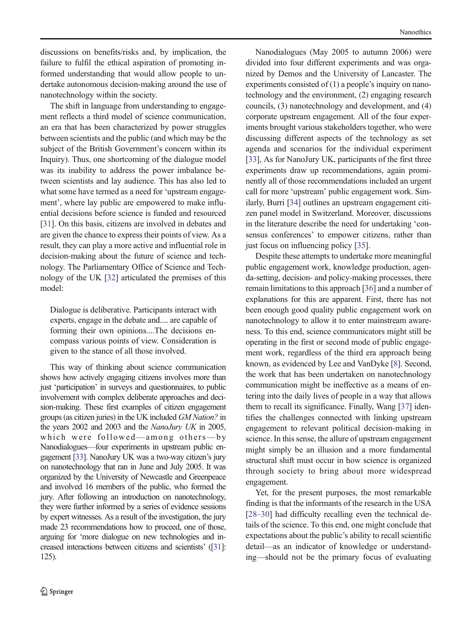discussions on benefits/risks and, by implication, the failure to fulfil the ethical aspiration of promoting informed understanding that would allow people to undertake autonomous decision-making around the use of nanotechnology within the society.

The shift in language from understanding to engagement reflects a third model of science communication, an era that has been characterized by power struggles between scientists and the public (and which may be the subject of the British Government's concern within its Inquiry). Thus, one shortcoming of the dialogue model was its inability to address the power imbalance between scientists and lay audience. This has also led to what some have termed as a need for 'upstream engagement', where lay public are empowered to make influential decisions before science is funded and resourced [[31\]](#page-14-0). On this basis, citizens are involved in debates and are given the chance to express their points of view. As a result, they can play a more active and influential role in decision-making about the future of science and technology. The Parliamentary Office of Science and Technology of the UK [\[32](#page-14-0)] articulated the premises of this model:

Dialogue is deliberative. Participants interact with experts, engage in the debate and.... are capable of forming their own opinions....The decisions encompass various points of view. Consideration is given to the stance of all those involved.

This way of thinking about science communication shows how actively engaging citizens involves more than just 'participation' in surveys and questionnaires, to public involvement with complex deliberate approaches and decision-making. These first examples of citizen engagement groups (as citizen juries) in the UK included GM Nation? in the years 2002 and 2003 and the NanoJury UK in 2005, which were followed—among others—by Nanodialogues—four experiments in upstream public engagement [\[33\]](#page-14-0). NanoJury UK was a two-way citizen's jury on nanotechnology that ran in June and July 2005. It was organized by the University of Newcastle and Greenpeace and involved 16 members of the public, who formed the jury. After following an introduction on nanotechnology, they were further informed by a series of evidence sessions by expert witnesses. As a result of the investigation, the jury made 23 recommendations how to proceed, one of those, arguing for 'more dialogue on new technologies and increased interactions between citizens and scientists' ([\[31\]](#page-14-0): 125).

Nanodialogues (May 2005 to autumn 2006) were divided into four different experiments and was organized by Demos and the University of Lancaster. The experiments consisted of (1) a people's inquiry on nanotechnology and the environment, (2) engaging research councils, (3) nanotechnology and development, and (4) corporate upstream engagement. All of the four experiments brought various stakeholders together, who were discussing different aspects of the technology as set agenda and scenarios for the individual experiment [\[33\]](#page-14-0), As for NanoJury UK, participants of the first three experiments draw up recommendations, again prominently all of those recommendations included an urgent call for more 'upstream' public engagement work. Similarly, Burri [[34\]](#page-14-0) outlines an upstream engagement citizen panel model in Switzerland. Moreover, discussions in the literature describe the need for undertaking 'consensus conferences' to empower citizens, rather than just focus on influencing policy [\[35\]](#page-14-0).

Despite these attempts to undertake more meaningful public engagement work, knowledge production, agenda-setting, decision- and policy-making processes, there remain limitations to this approach [\[36\]](#page-14-0) and a number of explanations for this are apparent. First, there has not been enough good quality public engagement work on nanotechnology to allow it to enter mainstream awareness. To this end, science communicators might still be operating in the first or second mode of public engagement work, regardless of the third era approach being known, as evidenced by Lee and VanDyke [\[8](#page-13-0)]. Second, the work that has been undertaken on nanotechnology communication might be ineffective as a means of entering into the daily lives of people in a way that allows them to recall its significance. Finally, Wang [[37\]](#page-14-0) identifies the challenges connected with linking upstream engagement to relevant political decision-making in science. In this sense, the allure of upstream engagement might simply be an illusion and a more fundamental structural shift must occur in how science is organized through society to bring about more widespread engagement.

Yet, for the present purposes, the most remarkable finding is that the informants of the research in the USA [\[28](#page-14-0)–[30](#page-14-0)] had difficulty recalling even the technical details of the science. To this end, one might conclude that expectations about the public's ability to recall scientific detail—as an indicator of knowledge or understanding—should not be the primary focus of evaluating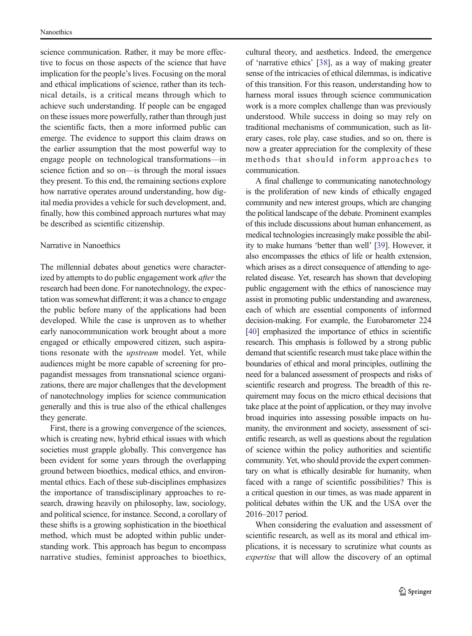science communication. Rather, it may be more effective to focus on those aspects of the science that have implication for the people's lives. Focusing on the moral and ethical implications of science, rather than its technical details, is a critical means through which to achieve such understanding. If people can be engaged on these issues more powerfully, rather than through just the scientific facts, then a more informed public can emerge. The evidence to support this claim draws on the earlier assumption that the most powerful way to engage people on technological transformations—in science fiction and so on—is through the moral issues they present. To this end, the remaining sections explore how narrative operates around understanding, how digital media provides a vehicle for such development, and, finally, how this combined approach nurtures what may be described as scientific citizenship.

#### Narrative in Nanoethics

The millennial debates about genetics were characterized by attempts to do public engagement work *after* the research had been done. For nanotechnology, the expectation was somewhat different; it was a chance to engage the public before many of the applications had been developed. While the case is unproven as to whether early nanocommunication work brought about a more engaged or ethically empowered citizen, such aspirations resonate with the upstream model. Yet, while audiences might be more capable of screening for propagandist messages from transnational science organizations, there are major challenges that the development of nanotechnology implies for science communication generally and this is true also of the ethical challenges they generate.

First, there is a growing convergence of the sciences, which is creating new, hybrid ethical issues with which societies must grapple globally. This convergence has been evident for some years through the overlapping ground between bioethics, medical ethics, and environmental ethics. Each of these sub-disciplines emphasizes the importance of transdisciplinary approaches to research, drawing heavily on philosophy, law, sociology, and political science, for instance. Second, a corollary of these shifts is a growing sophistication in the bioethical method, which must be adopted within public understanding work. This approach has begun to encompass narrative studies, feminist approaches to bioethics,

cultural theory, and aesthetics. Indeed, the emergence of 'narrative ethics' [\[38\]](#page-14-0), as a way of making greater sense of the intricacies of ethical dilemmas, is indicative of this transition. For this reason, understanding how to harness moral issues through science communication work is a more complex challenge than was previously understood. While success in doing so may rely on traditional mechanisms of communication, such as literary cases, role play, case studies, and so on, there is now a greater appreciation for the complexity of these methods that should inform approaches to communication.

A final challenge to communicating nanotechnology is the proliferation of new kinds of ethically engaged community and new interest groups, which are changing the political landscape of the debate. Prominent examples of this include discussions about human enhancement, as medical technologies increasingly make possible the ability to make humans 'better than well' [\[39\]](#page-14-0). However, it also encompasses the ethics of life or health extension, which arises as a direct consequence of attending to agerelated disease. Yet, research has shown that developing public engagement with the ethics of nanoscience may assist in promoting public understanding and awareness, each of which are essential components of informed decision-making. For example, the Eurobarometer 224 [\[40\]](#page-14-0) emphasized the importance of ethics in scientific research. This emphasis is followed by a strong public demand that scientific research must take place within the boundaries of ethical and moral principles, outlining the need for a balanced assessment of prospects and risks of scientific research and progress. The breadth of this requirement may focus on the micro ethical decisions that take place at the point of application, or they may involve broad inquiries into assessing possible impacts on humanity, the environment and society, assessment of scientific research, as well as questions about the regulation of science within the policy authorities and scientific community. Yet, who should provide the expert commentary on what is ethically desirable for humanity, when faced with a range of scientific possibilities? This is a critical question in our times, as was made apparent in political debates within the UK and the USA over the 2016–2017 period.

When considering the evaluation and assessment of scientific research, as well as its moral and ethical implications, it is necessary to scrutinize what counts as expertise that will allow the discovery of an optimal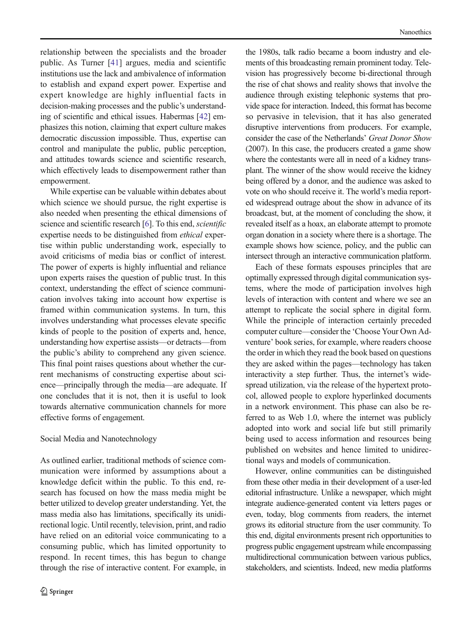relationship between the specialists and the broader public. As Turner [\[41](#page-14-0)] argues, media and scientific institutions use the lack and ambivalence of information to establish and expand expert power. Expertise and expert knowledge are highly influential facts in decision-making processes and the public's understanding of scientific and ethical issues. Habermas [\[42\]](#page-14-0) emphasizes this notion, claiming that expert culture makes democratic discussion impossible. Thus, expertise can control and manipulate the public, public perception, and attitudes towards science and scientific research, which effectively leads to disempowerment rather than empowerment.

While expertise can be valuable within debates about which science we should pursue, the right expertise is also needed when presenting the ethical dimensions of science and scientific research [\[6\]](#page-13-0). To this end, scientific expertise needs to be distinguished from ethical expertise within public understanding work, especially to avoid criticisms of media bias or conflict of interest. The power of experts is highly influential and reliance upon experts raises the question of public trust. In this context, understanding the effect of science communication involves taking into account how expertise is framed within communication systems. In turn, this involves understanding what processes elevate specific kinds of people to the position of experts and, hence, understanding how expertise assists—or detracts—from the public's ability to comprehend any given science. This final point raises questions about whether the current mechanisms of constructing expertise about science—principally through the media—are adequate. If one concludes that it is not, then it is useful to look towards alternative communication channels for more effective forms of engagement.

## Social Media and Nanotechnology

As outlined earlier, traditional methods of science communication were informed by assumptions about a knowledge deficit within the public. To this end, research has focused on how the mass media might be better utilized to develop greater understanding. Yet, the mass media also has limitations, specifically its unidirectional logic. Until recently, television, print, and radio have relied on an editorial voice communicating to a consuming public, which has limited opportunity to respond. In recent times, this has begun to change through the rise of interactive content. For example, in the 1980s, talk radio became a boom industry and elements of this broadcasting remain prominent today. Television has progressively become bi-directional through the rise of chat shows and reality shows that involve the audience through existing telephonic systems that provide space for interaction. Indeed, this format has become so pervasive in television, that it has also generated disruptive interventions from producers. For example, consider the case of the Netherlands' Great Donor Show (2007). In this case, the producers created a game show where the contestants were all in need of a kidney transplant. The winner of the show would receive the kidney being offered by a donor, and the audience was asked to vote on who should receive it. The world's media reported widespread outrage about the show in advance of its broadcast, but, at the moment of concluding the show, it revealed itself as a hoax, an elaborate attempt to promote organ donation in a society where there is a shortage. The example shows how science, policy, and the public can intersect through an interactive communication platform.

Each of these formats espouses principles that are optimally expressed through digital communication systems, where the mode of participation involves high levels of interaction with content and where we see an attempt to replicate the social sphere in digital form. While the principle of interaction certainly preceded computer culture—consider the 'Choose Your Own Adventure' book series, for example, where readers choose the order in which they read the book based on questions they are asked within the pages—technology has taken interactivity a step further. Thus, the internet's widespread utilization, via the release of the hypertext protocol, allowed people to explore hyperlinked documents in a network environment. This phase can also be referred to as Web 1.0, where the internet was publicly adopted into work and social life but still primarily being used to access information and resources being published on websites and hence limited to unidirectional ways and models of communication.

However, online communities can be distinguished from these other media in their development of a user-led editorial infrastructure. Unlike a newspaper, which might integrate audience-generated content via letters pages or even, today, blog comments from readers, the internet grows its editorial structure from the user community. To this end, digital environments present rich opportunities to progress public engagement upstream while encompassing multidirectional communication between various publics, stakeholders, and scientists. Indeed, new media platforms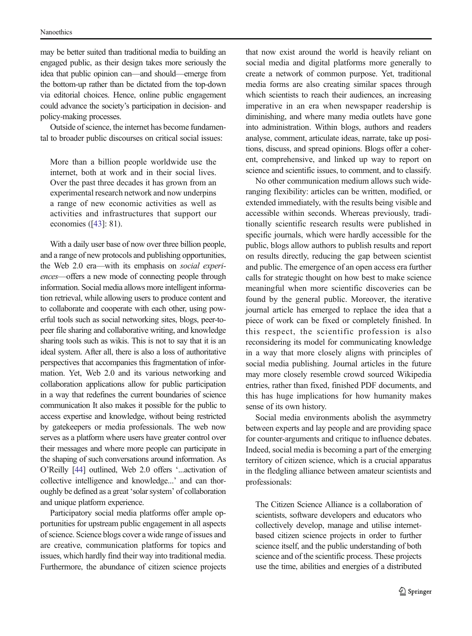may be better suited than traditional media to building an engaged public, as their design takes more seriously the idea that public opinion can—and should—emerge from the bottom-up rather than be dictated from the top-down via editorial choices. Hence, online public engagement could advance the society's participation in decision- and policy-making processes.

Outside of science, the internet has become fundamental to broader public discourses on critical social issues:

More than a billion people worldwide use the internet, both at work and in their social lives. Over the past three decades it has grown from an experimental research network and now underpins a range of new economic activities as well as activities and infrastructures that support our economies ([\[43](#page-14-0)]: 81).

With a daily user base of now over three billion people, and a range of new protocols and publishing opportunities, the Web 2.0 era—with its emphasis on social experiences—offers a new mode of connecting people through information. Social media allows more intelligent information retrieval, while allowing users to produce content and to collaborate and cooperate with each other, using powerful tools such as social networking sites, blogs, peer-topeer file sharing and collaborative writing, and knowledge sharing tools such as wikis. This is not to say that it is an ideal system. After all, there is also a loss of authoritative perspectives that accompanies this fragmentation of information. Yet, Web 2.0 and its various networking and collaboration applications allow for public participation in a way that redefines the current boundaries of science communication It also makes it possible for the public to access expertise and knowledge, without being restricted by gatekeepers or media professionals. The web now serves as a platform where users have greater control over their messages and where more people can participate in the shaping of such conversations around information. As O'Reilly [[44](#page-14-0)] outlined, Web 2.0 offers '...activation of collective intelligence and knowledge...' and can thoroughly be defined as a great 'solar system' of collaboration and unique platform experience.

Participatory social media platforms offer ample opportunities for upstream public engagement in all aspects of science. Science blogs cover a wide range of issues and are creative, communication platforms for topics and issues, which hardly find their way into traditional media. Furthermore, the abundance of citizen science projects that now exist around the world is heavily reliant on social media and digital platforms more generally to create a network of common purpose. Yet, traditional media forms are also creating similar spaces through which scientists to reach their audiences, an increasing imperative in an era when newspaper readership is diminishing, and where many media outlets have gone into administration. Within blogs, authors and readers analyse, comment, articulate ideas, narrate, take up positions, discuss, and spread opinions. Blogs offer a coherent, comprehensive, and linked up way to report on science and scientific issues, to comment, and to classify.

No other communication medium allows such wideranging flexibility: articles can be written, modified, or extended immediately, with the results being visible and accessible within seconds. Whereas previously, traditionally scientific research results were published in specific journals, which were hardly accessible for the public, blogs allow authors to publish results and report on results directly, reducing the gap between scientist and public. The emergence of an open access era further calls for strategic thought on how best to make science meaningful when more scientific discoveries can be found by the general public. Moreover, the iterative journal article has emerged to replace the idea that a piece of work can be fixed or completely finished. In this respect, the scientific profession is also reconsidering its model for communicating knowledge in a way that more closely aligns with principles of social media publishing. Journal articles in the future may more closely resemble crowd sourced Wikipedia entries, rather than fixed, finished PDF documents, and this has huge implications for how humanity makes sense of its own history.

Social media environments abolish the asymmetry between experts and lay people and are providing space for counter-arguments and critique to influence debates. Indeed, social media is becoming a part of the emerging territory of citizen science, which is a crucial apparatus in the fledgling alliance between amateur scientists and professionals:

The Citizen Science Alliance is a collaboration of scientists, software developers and educators who collectively develop, manage and utilise internetbased citizen science projects in order to further science itself, and the public understanding of both science and of the scientific process. These projects use the time, abilities and energies of a distributed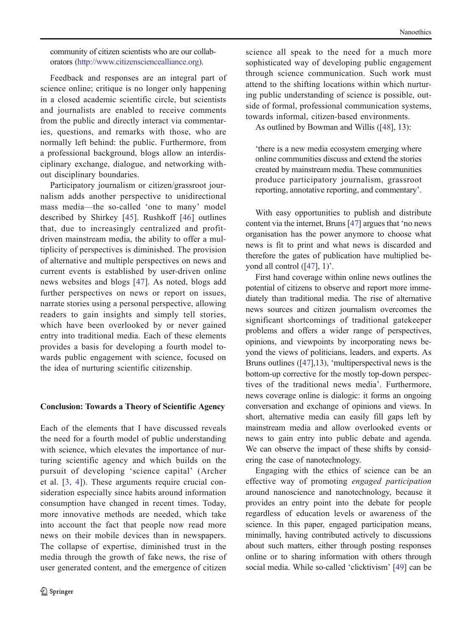community of citizen scientists who are our collaborators ([http://www.citizensciencealliance.org\)](http://www.citizensciencealliance.org).

Feedback and responses are an integral part of science online; critique is no longer only happening in a closed academic scientific circle, but scientists and journalists are enabled to receive comments from the public and directly interact via commentaries, questions, and remarks with those, who are normally left behind: the public. Furthermore, from a professional background, blogs allow an interdisciplinary exchange, dialogue, and networking without disciplinary boundaries.

Participatory journalism or citizen/grassroot journalism adds another perspective to unidirectional mass media—the so-called 'one to many' model described by Shirkey [\[45](#page-14-0)]. Rushkoff [[46](#page-14-0)] outlines that, due to increasingly centralized and profitdriven mainstream media, the ability to offer a multiplicity of perspectives is diminished. The provision of alternative and multiple perspectives on news and current events is established by user-driven online news websites and blogs [[47\]](#page-14-0). As noted, blogs add further perspectives on news or report on issues, narrate stories using a personal perspective, allowing readers to gain insights and simply tell stories, which have been overlooked by or never gained entry into traditional media. Each of these elements provides a basis for developing a fourth model towards public engagement with science, focused on the idea of nurturing scientific citizenship.

# Conclusion: Towards a Theory of Scientific Agency

Each of the elements that I have discussed reveals the need for a fourth model of public understanding with science, which elevates the importance of nurturing scientific agency and which builds on the pursuit of developing 'science capital' (Archer et al. [[3,](#page-13-0) [4](#page-13-0)]). These arguments require crucial consideration especially since habits around information consumption have changed in recent times. Today, more innovative methods are needed, which take into account the fact that people now read more news on their mobile devices than in newspapers. The collapse of expertise, diminished trust in the media through the growth of fake news, the rise of user generated content, and the emergence of citizen

science all speak to the need for a much more sophisticated way of developing public engagement through science communication. Such work must attend to the shifting locations within which nurturing public understanding of science is possible, outside of formal, professional communication systems, towards informal, citizen-based environments.

As outlined by Bowman and Willis ([\[48](#page-14-0)], 13):

'there is a new media ecosystem emerging where online communities discuss and extend the stories created by mainstream media. These communities produce participatory journalism, grassroot reporting, annotative reporting, and commentary'.

With easy opportunities to publish and distribute content via the internet, Bruns [\[47\]](#page-14-0) argues that 'no news organisation has the power anymore to choose what news is fit to print and what news is discarded and therefore the gates of publication have multiplied beyond all control ([[47](#page-14-0)], 1)'.

First hand coverage within online news outlines the potential of citizens to observe and report more immediately than traditional media. The rise of alternative news sources and citizen journalism overcomes the significant shortcomings of traditional gatekeeper problems and offers a wider range of perspectives, opinions, and viewpoints by incorporating news beyond the views of politicians, leaders, and experts. As Bruns outlines ([\[47](#page-14-0)],13), 'multiperspectival news is the bottom-up corrective for the mostly top-down perspectives of the traditional news media'. Furthermore, news coverage online is dialogic: it forms an ongoing conversation and exchange of opinions and views. In short, alternative media can easily fill gaps left by mainstream media and allow overlooked events or news to gain entry into public debate and agenda. We can observe the impact of these shifts by considering the case of nanotechnology.

Engaging with the ethics of science can be an effective way of promoting engaged participation around nanoscience and nanotechnology, because it provides an entry point into the debate for people regardless of education levels or awareness of the science. In this paper, engaged participation means, minimally, having contributed actively to discussions about such matters, either through posting responses online or to sharing information with others through social media. While so-called 'clicktivism' [[49](#page-14-0)] can be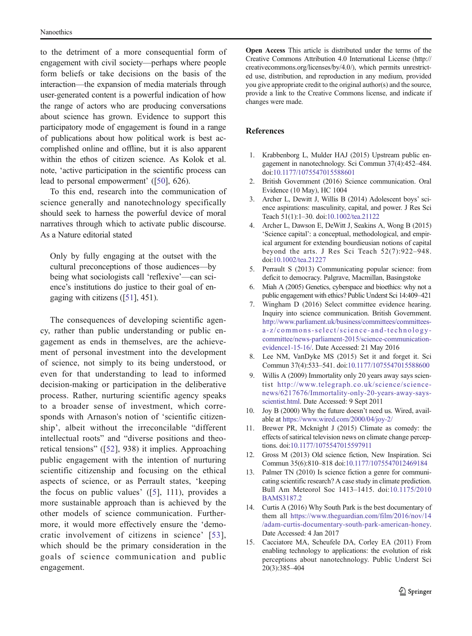<span id="page-13-0"></span>to the detriment of a more consequential form of engagement with civil society—perhaps where people form beliefs or take decisions on the basis of the interaction—the expansion of media materials through user-generated content is a powerful indication of how the range of actors who are producing conversations about science has grown. Evidence to support this participatory mode of engagement is found in a range of publications about how political work is best accomplished online and offline, but it is also apparent within the ethos of citizen science. As Kolok et al. note, 'active participation in the scientific process can lead to personal empowerment' ([[50\]](#page-14-0), 626).

To this end, research into the communication of science generally and nanotechnology specifically should seek to harness the powerful device of moral narratives through which to activate public discourse. As a Nature editorial stated

Only by fully engaging at the outset with the cultural preconceptions of those audiences—by being what sociologists call 'reflexive'—can science's institutions do justice to their goal of engaging with citizens ([\[51](#page-14-0)], 451).

The consequences of developing scientific agency, rather than public understanding or public engagement as ends in themselves, are the achievement of personal investment into the development of science, not simply to its being understood, or even for that understanding to lead to informed decision-making or participation in the deliberative process. Rather, nurturing scientific agency speaks to a broader sense of investment, which corresponds with Arnason's notion of 'scientific citizenship', albeit without the irreconcilable "different intellectual roots" and "diverse positions and theoretical tensions" ([[52](#page-14-0)], 938) it implies. Approaching public engagement with the intention of nurturing scientific citizenship and focusing on the ethical aspects of science, or as Perrault states, 'keeping the focus on public values' ([5], 111), provides a more sustainable approach than is achieved by the other models of science communication. Furthermore, it would more effectively ensure the 'democratic involvement of citizens in science' [[53](#page-14-0)], which should be the primary consideration in the goals of science communication and public engagement.

Open Access This article is distributed under the terms of the Creative Commons Attribution 4.0 International License (http:// creativecommons.org/licenses/by/4.0/), which permits unrestricted use, distribution, and reproduction in any medium, provided you give appropriate credit to the original author(s) and the source, provide a link to the Creative Commons license, and indicate if changes were made.

### References

- 1. Krabbenborg L, Mulder HAJ (2015) Upstream public engagement in nanotechnology. Sci Commun 37(4):452–484. doi:[10.1177/1075547015588601](http://dx.doi.org/10.1177/1075547015588601)
- 2. British Government (2016) Science communication. Oral Evidence (10 May), HC 1004
- 3. Archer L, Dewitt J, Willis B (2014) Adolescent boys' science aspirations: masculinity, capital, and power. J Res Sci Teach 51(1):1–30. doi[:10.1002/tea.21122](http://dx.doi.org/10.1002/tea.21122)
- 4. Archer L, Dawson E, DeWitt J, Seakins A, Wong B (2015) 'Science capital': a conceptual, methodological, and empirical argument for extending bourdieusian notions of capital beyond the arts. J Res Sci Teach 52(7):922–948. doi:[10.1002/tea.21227](http://dx.doi.org/10.1002/tea.21227)
- 5. Perrault S (2013) Communicating popular science: from deficit to democracy. Palgrave, Macmillan, Basingstoke
- 6. Miah A (2005) Genetics, cyberspace and bioethics: why not a public engagement with ethics? Public Underst Sci 14:409–421
- 7. Wingham D (2016) Select committee evidence hearing. Inquiry into science communication. British Government. [http://www.parliament.uk/business/committees/committees](http://www.parliament.uk/business/committees/committees-a-z/commons-select/science-and-technology-committee/news-parliament-2015/science-communication-evidence1-15-16/)a-z/commons-select/s [cience-and-technology](http://www.parliament.uk/business/committees/committees-a-z/commons-select/science-and-technology-committee/news-parliament-2015/science-communication-evidence1-15-16/)[committee/news-parliament-2015/science-communication](http://www.parliament.uk/business/committees/committees-a-z/commons-select/science-and-technology-committee/news-parliament-2015/science-communication-evidence1-15-16/)[evidence1-15-16/](http://www.parliament.uk/business/committees/committees-a-z/commons-select/science-and-technology-committee/news-parliament-2015/science-communication-evidence1-15-16/). Date Accessed: 21 May 2016
- 8. Lee NM, VanDyke MS (2015) Set it and forget it. Sci Commun 37(4):533–541. doi[:10.1177/1075547015588600](http://dx.doi.org/10.1177/1075547015588600)
- 9. Willis A (2009) Immortality only 20 years away says scientist [http://www.telegraph.co.uk/science/science](http://www.telegraph.co.uk/science/science-news/6217676/Immortality-only-20-years-away-says-scientist.html)[news/6217676/Immortality-only-20-years-away-says](http://www.telegraph.co.uk/science/science-news/6217676/Immortality-only-20-years-away-says-scientist.html)[scientist.html.](http://www.telegraph.co.uk/science/science-news/6217676/Immortality-only-20-years-away-says-scientist.html) Date Accessed: 9 Sept 2011
- 10. Joy B (2000) Why the future doesn't need us. Wired, available at <https://www.wired.com/2000/04/joy-2/>
- 11. Brewer PR, Mcknight J (2015) Climate as comedy: the effects of satirical television news on climate change perceptions. doi:[10.1177/1075547015597911](http://dx.doi.org/10.1177/1075547015597911)
- 12. Gross M (2013) Old science fiction, New Inspiration. Sci Commun 35(6):810–818 doi:[10.1177/1075547012469184](http://dx.doi.org/10.1177/1075547012469184)
- 13. Palmer TN (2010) Is science fiction a genre for communicating scientific research? A case study in climate prediction. Bull Am Meteorol Soc 1413–1415. doi:[10.1175/2010](http://dx.doi.org/10.1175/2010BAMS3187.2) [BAMS3187.2](http://dx.doi.org/10.1175/2010BAMS3187.2)
- 14. Curtis A (2016) Why South Park is the best documentary of them all [https://www.theguardian.com/film/2016/nov/14](https://www.theguardian.com/film/2016/nov/14/adam-curtis-documentary-south-park-american-honey) [/adam-curtis-documentary-south-park-american-honey.](https://www.theguardian.com/film/2016/nov/14/adam-curtis-documentary-south-park-american-honey) Date Accessed: 4 Jan 2017
- 15. Cacciatore MA, Scheufele DA, Corley EA (2011) From enabling technology to applications: the evolution of risk perceptions about nanotechnology. Public Underst Sci 20(3):385–404